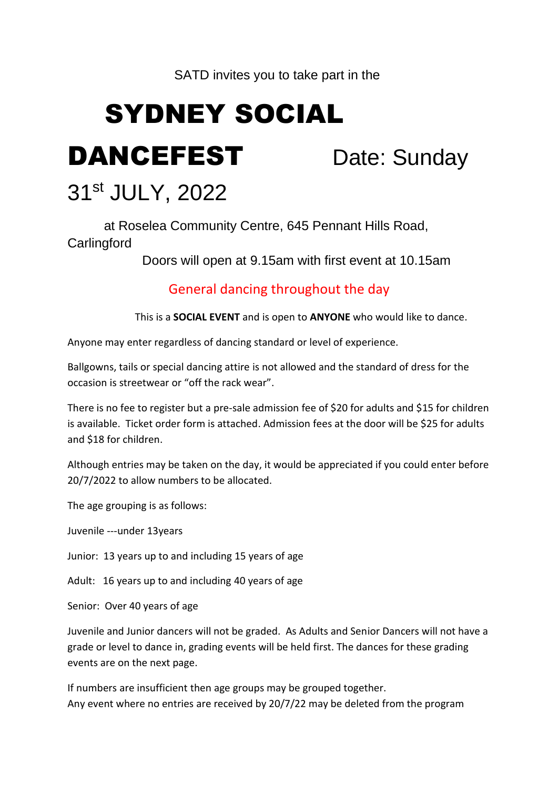### SATD invites you to take part in the

# SYDNEY SOCIAL

DANCEFEST Date: Sunday

# 31 st JULY, 2022

at Roselea Community Centre, 645 Pennant Hills Road,

### **Carlingford**

Doors will open at 9.15am with first event at 10.15am

### General dancing throughout the day

This is a **SOCIAL EVENT** and is open to **ANYONE** who would like to dance.

Anyone may enter regardless of dancing standard or level of experience.

Ballgowns, tails or special dancing attire is not allowed and the standard of dress for the occasion is streetwear or "off the rack wear".

There is no fee to register but a pre-sale admission fee of \$20 for adults and \$15 for children is available. Ticket order form is attached. Admission fees at the door will be \$25 for adults and \$18 for children.

Although entries may be taken on the day, it would be appreciated if you could enter before 20/7/2022 to allow numbers to be allocated.

The age grouping is as follows:

Juvenile ---under 13years

Junior: 13 years up to and including 15 years of age

Adult: 16 years up to and including 40 years of age

Senior: Over 40 years of age

Juvenile and Junior dancers will not be graded. As Adults and Senior Dancers will not have a grade or level to dance in, grading events will be held first. The dances for these grading events are on the next page.

If numbers are insufficient then age groups may be grouped together. Any event where no entries are received by 20/7/22 may be deleted from the program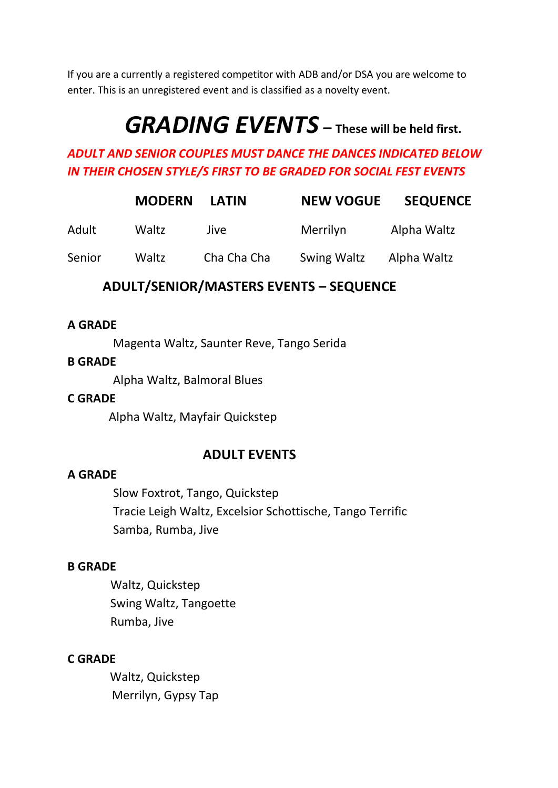If you are a currently a registered competitor with ADB and/or DSA you are welcome to enter. This is an unregistered event and is classified as a novelty event.

# *GRADING EVENTS* **– These will be held first.**

### *ADULT AND SENIOR COUPLES MUST DANCE THE DANCES INDICATED BELOW IN THEIR CHOSEN STYLE/S FIRST TO BE GRADED FOR SOCIAL FEST EVENTS*

|        | <b>MODERN</b> | <b>LATIN</b> | <b>NEW VOGUE</b>   | <b>SEQUENCE</b> |
|--------|---------------|--------------|--------------------|-----------------|
| Adult  | Waltz         | Jive.        | Merrilyn           | Alpha Waltz     |
| Senior | Waltz         | Cha Cha Cha  | <b>Swing Waltz</b> | Alpha Waltz     |

### **ADULT/SENIOR/MASTERS EVENTS – SEQUENCE**

#### **A GRADE**

Magenta Waltz, Saunter Reve, Tango Serida

#### **B GRADE**

Alpha Waltz, Balmoral Blues

#### **C GRADE**

Alpha Waltz, Mayfair Quickstep

### **ADULT EVENTS**

#### **A GRADE**

Slow Foxtrot, Tango, Quickstep Tracie Leigh Waltz, Excelsior Schottische, Tango Terrific Samba, Rumba, Jive

### **B GRADE**

Waltz, Quickstep Swing Waltz, Tangoette Rumba, Jive

### **C GRADE**

 Waltz, Quickstep Merrilyn, Gypsy Tap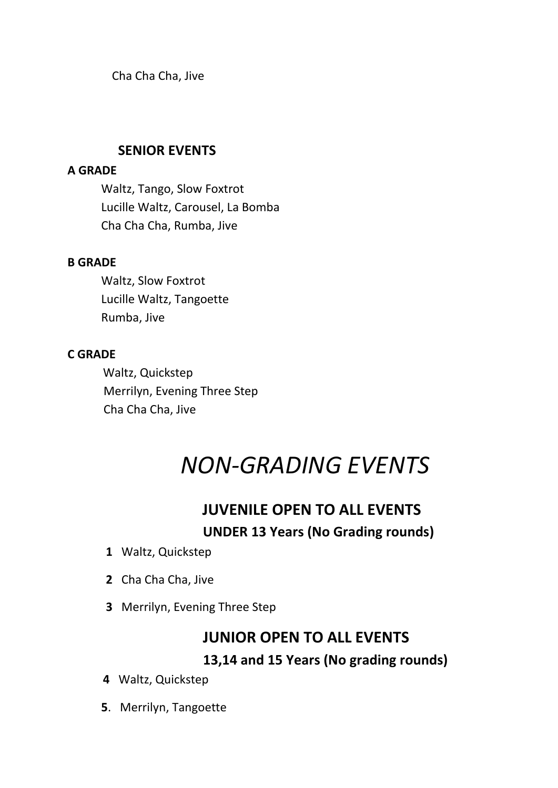Cha Cha Cha, Jive

### **SENIOR EVENTS**

#### **A GRADE**

Waltz, Tango, Slow Foxtrot Lucille Waltz, Carousel, La Bomba Cha Cha Cha, Rumba, Jive

### **B GRADE**

Waltz, Slow Foxtrot Lucille Waltz, Tangoette Rumba, Jive

### **C GRADE**

Waltz, Quickstep Merrilyn, Evening Three Step Cha Cha Cha, Jive

# *NON-GRADING EVENTS*

# **JUVENILE OPEN TO ALL EVENTS UNDER 13 Years (No Grading rounds)**

- **1** Waltz, Quickstep
- **2** Cha Cha Cha, Jive
- **3** Merrilyn, Evening Three Step

# **JUNIOR OPEN TO ALL EVENTS**

### **13,14 and 15 Years (No grading rounds)**

- **4** Waltz, Quickstep
- **5**. Merrilyn, Tangoette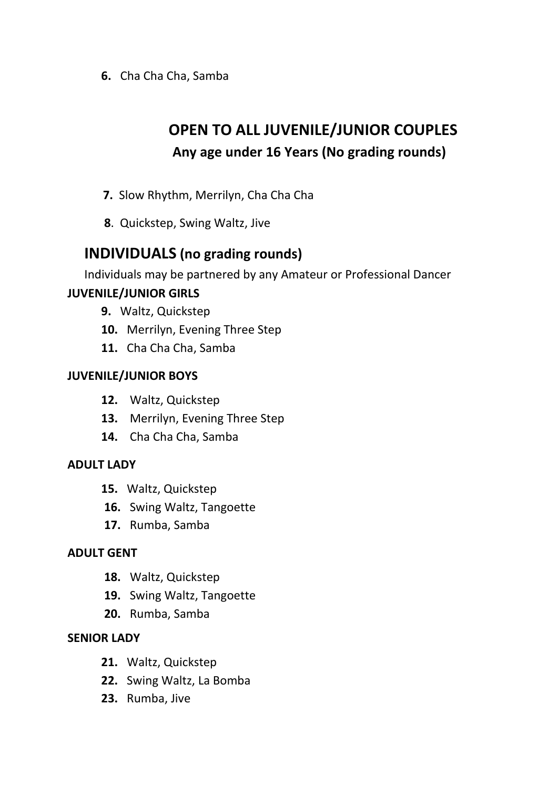**6.** Cha Cha Cha, Samba

# **OPEN TO ALL JUVENILE/JUNIOR COUPLES Any age under 16 Years (No grading rounds)**

- **7.** Slow Rhythm, Merrilyn, Cha Cha Cha
- **8**. Quickstep, Swing Waltz, Jive

# **INDIVIDUALS (no grading rounds)**

Individuals may be partnered by any Amateur or Professional Dancer

### **JUVENILE/JUNIOR GIRLS**

- **9.** Waltz, Quickstep
- **10.** Merrilyn, Evening Three Step
- **11.** Cha Cha Cha, Samba

### **JUVENILE/JUNIOR BOYS**

- **12.** Waltz, Quickstep
- **13.** Merrilyn, Evening Three Step
- **14.** Cha Cha Cha, Samba

### **ADULT LADY**

- **15.** Waltz, Quickstep
- **16.** Swing Waltz, Tangoette
- **17.** Rumba, Samba

### **ADULT GENT**

- **18.** Waltz, Quickstep
- **19.** Swing Waltz, Tangoette
- **20.** Rumba, Samba

### **SENIOR LADY**

- **21.** Waltz, Quickstep
- **22.** Swing Waltz, La Bomba
- **23.** Rumba, Jive